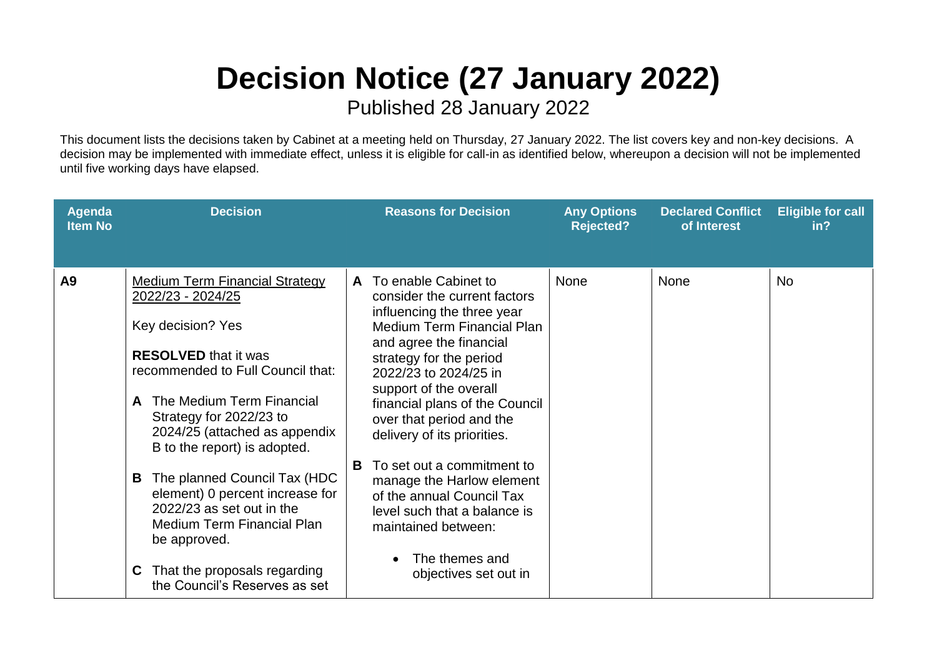## **Decision Notice (27 January 2022)**

Published 28 January 2022

This document lists the decisions taken by Cabinet at a meeting held on Thursday, 27 January 2022. The list covers key and non-key decisions. A decision may be implemented with immediate effect, unless it is eligible for call-in as identified below, whereupon a decision will not be implemented until five working days have elapsed.

| Agenda<br><b>Item No</b> | <b>Decision</b>                                                                                                                                                                                                                                                                                                                                                                                                                                                                                             | <b>Reasons for Decision</b>                                                                                                                                                                                                                                                                                                                                                                                                                                                                                                       | <b>Any Options</b><br><b>Rejected?</b> | <b>Declared Conflict</b><br>of Interest | <b>Eligible for call</b><br>in <sub>2</sub> |
|--------------------------|-------------------------------------------------------------------------------------------------------------------------------------------------------------------------------------------------------------------------------------------------------------------------------------------------------------------------------------------------------------------------------------------------------------------------------------------------------------------------------------------------------------|-----------------------------------------------------------------------------------------------------------------------------------------------------------------------------------------------------------------------------------------------------------------------------------------------------------------------------------------------------------------------------------------------------------------------------------------------------------------------------------------------------------------------------------|----------------------------------------|-----------------------------------------|---------------------------------------------|
| A9                       | <b>Medium Term Financial Strategy</b><br>2022/23 - 2024/25<br>Key decision? Yes<br><b>RESOLVED</b> that it was<br>recommended to Full Council that:<br>The Medium Term Financial<br>A<br>Strategy for 2022/23 to<br>2024/25 (attached as appendix<br>B to the report) is adopted.<br>The planned Council Tax (HDC<br>B<br>element) 0 percent increase for<br>2022/23 as set out in the<br>Medium Term Financial Plan<br>be approved.<br>That the proposals regarding<br>C.<br>the Council's Reserves as set | To enable Cabinet to<br>A<br>consider the current factors<br>influencing the three year<br><b>Medium Term Financial Plan</b><br>and agree the financial<br>strategy for the period<br>2022/23 to 2024/25 in<br>support of the overall<br>financial plans of the Council<br>over that period and the<br>delivery of its priorities.<br>To set out a commitment to<br>в<br>manage the Harlow element<br>of the annual Council Tax<br>level such that a balance is<br>maintained between:<br>The themes and<br>objectives set out in | <b>None</b>                            | <b>None</b>                             | <b>No</b>                                   |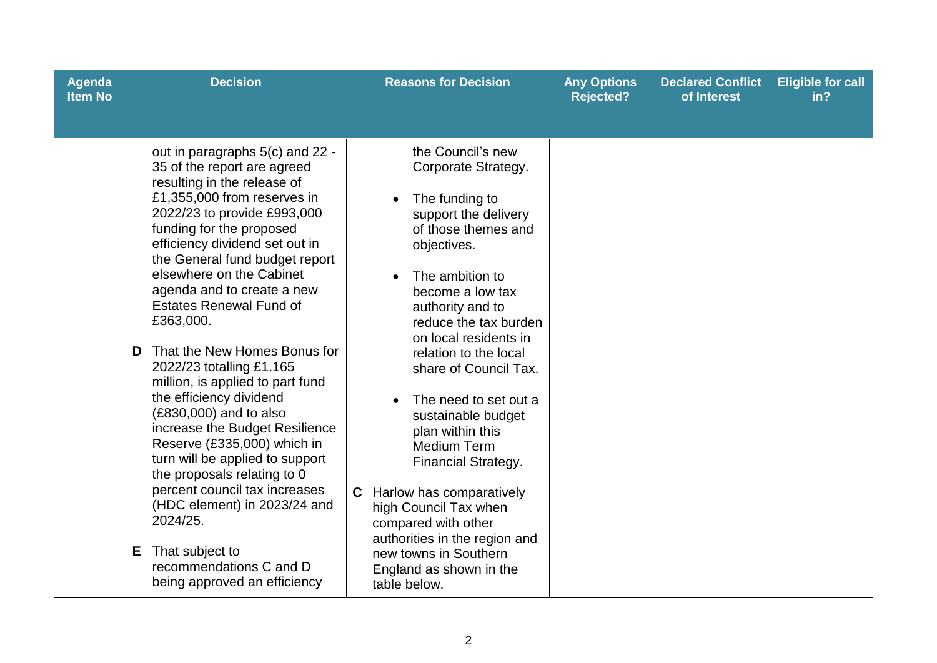| <b>Agenda</b><br><b>Item No</b> | <b>Decision</b>                                                                                                                                                                                                                                                                                                                                                                                                                                                                                                                                                                                                                                                                                                                                                                                                                     | <b>Reasons for Decision</b>                                                                                                                                                                                                                                                                                                                                                                                                                                                                                                                                                                              | <b>Any Options</b><br><b>Rejected?</b> | <b>Declared Conflict</b><br>of Interest | <b>Eligible for call</b><br>in? |
|---------------------------------|-------------------------------------------------------------------------------------------------------------------------------------------------------------------------------------------------------------------------------------------------------------------------------------------------------------------------------------------------------------------------------------------------------------------------------------------------------------------------------------------------------------------------------------------------------------------------------------------------------------------------------------------------------------------------------------------------------------------------------------------------------------------------------------------------------------------------------------|----------------------------------------------------------------------------------------------------------------------------------------------------------------------------------------------------------------------------------------------------------------------------------------------------------------------------------------------------------------------------------------------------------------------------------------------------------------------------------------------------------------------------------------------------------------------------------------------------------|----------------------------------------|-----------------------------------------|---------------------------------|
|                                 | out in paragraphs 5(c) and 22 -<br>35 of the report are agreed<br>resulting in the release of<br>£1,355,000 from reserves in<br>2022/23 to provide £993,000<br>funding for the proposed<br>efficiency dividend set out in<br>the General fund budget report<br>elsewhere on the Cabinet<br>agenda and to create a new<br><b>Estates Renewal Fund of</b><br>£363,000.<br>That the New Homes Bonus for<br>D.<br>2022/23 totalling £1.165<br>million, is applied to part fund<br>the efficiency dividend<br>(£830,000) and to also<br>increase the Budget Resilience<br>Reserve (£335,000) which in<br>turn will be applied to support<br>the proposals relating to 0<br>percent council tax increases<br>(HDC element) in 2023/24 and<br>2024/25.<br>That subject to<br>E.<br>recommendations C and D<br>being approved an efficiency | the Council's new<br>Corporate Strategy.<br>The funding to<br>support the delivery<br>of those themes and<br>objectives.<br>The ambition to<br>become a low tax<br>authority and to<br>reduce the tax burden<br>on local residents in<br>relation to the local<br>share of Council Tax.<br>The need to set out a<br>sustainable budget<br>plan within this<br><b>Medium Term</b><br><b>Financial Strategy.</b><br><b>C</b> Harlow has comparatively<br>high Council Tax when<br>compared with other<br>authorities in the region and<br>new towns in Southern<br>England as shown in the<br>table below. |                                        |                                         |                                 |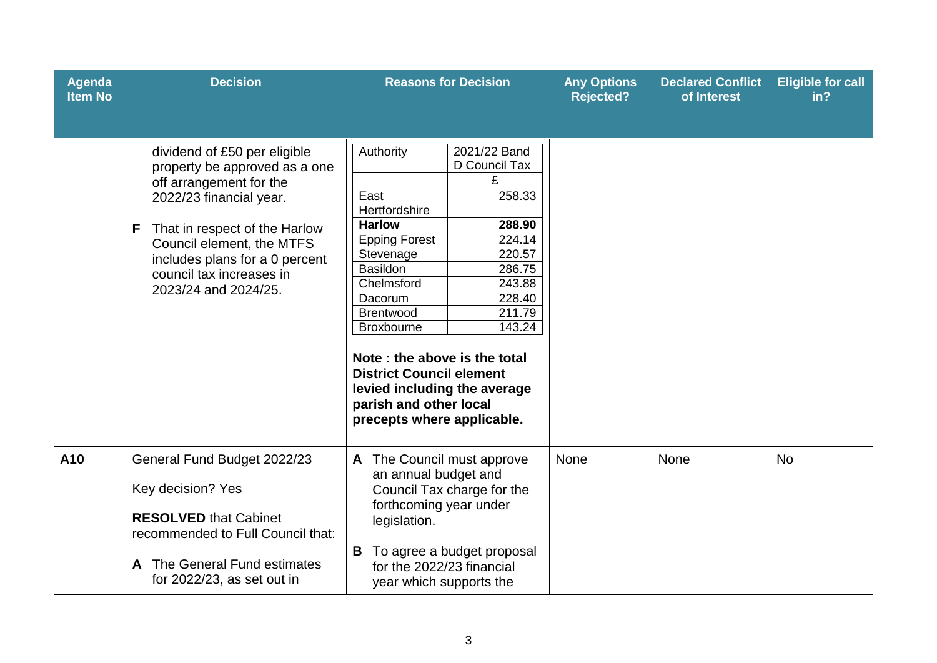| <b>Agenda</b><br><b>Item No</b> | <b>Decision</b>                                                                                                                                                                                                                                                              | <b>Reasons for Decision</b>                                                                                                                                                                                                                                                                                                                                                                                                                                                     | <b>Any Options</b><br><b>Rejected?</b> | <b>Declared Conflict</b><br>of Interest | <b>Eligible for call</b><br>in? |
|---------------------------------|------------------------------------------------------------------------------------------------------------------------------------------------------------------------------------------------------------------------------------------------------------------------------|---------------------------------------------------------------------------------------------------------------------------------------------------------------------------------------------------------------------------------------------------------------------------------------------------------------------------------------------------------------------------------------------------------------------------------------------------------------------------------|----------------------------------------|-----------------------------------------|---------------------------------|
|                                 | dividend of £50 per eligible<br>property be approved as a one<br>off arrangement for the<br>2022/23 financial year.<br>That in respect of the Harlow<br>F<br>Council element, the MTFS<br>includes plans for a 0 percent<br>council tax increases in<br>2023/24 and 2024/25. | <b>Authority</b><br>2021/22 Band<br>D Council Tax<br>£<br>East<br>258.33<br>Hertfordshire<br>288.90<br><b>Harlow</b><br>224.14<br><b>Epping Forest</b><br>220.57<br>Stevenage<br>286.75<br><b>Basildon</b><br>Chelmsford<br>243.88<br>228.40<br>Dacorum<br><b>Brentwood</b><br>211.79<br>143.24<br><b>Broxbourne</b><br>Note: the above is the total<br><b>District Council element</b><br>levied including the average<br>parish and other local<br>precepts where applicable. |                                        |                                         |                                 |
| A10                             | General Fund Budget 2022/23<br>Key decision? Yes<br><b>RESOLVED that Cabinet</b><br>recommended to Full Council that:<br>A The General Fund estimates<br>for 2022/23, as set out in                                                                                          | A The Council must approve<br>an annual budget and<br>Council Tax charge for the<br>forthcoming year under<br>legislation.<br>В<br>To agree a budget proposal<br>for the 2022/23 financial<br>year which supports the                                                                                                                                                                                                                                                           | <b>None</b>                            | None                                    | <b>No</b>                       |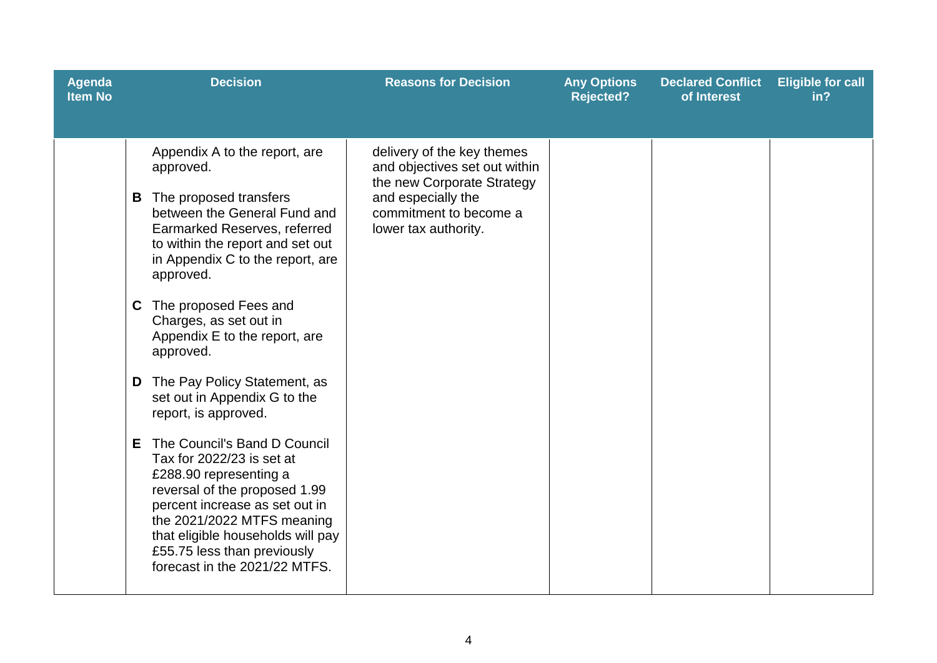| <b>Decision</b><br><b>Reasons for Decision</b><br><b>Declared Conflict</b><br><b>Agenda</b><br><b>Any Options</b><br><b>Item No</b><br><b>Rejected?</b><br>of Interest                                                                                                                                                                                                                                                                                                                                                                                                                                                                                                                                                                                                                                                                                                                                     | <b>Eligible for call</b><br>in? |
|------------------------------------------------------------------------------------------------------------------------------------------------------------------------------------------------------------------------------------------------------------------------------------------------------------------------------------------------------------------------------------------------------------------------------------------------------------------------------------------------------------------------------------------------------------------------------------------------------------------------------------------------------------------------------------------------------------------------------------------------------------------------------------------------------------------------------------------------------------------------------------------------------------|---------------------------------|
| Appendix A to the report, are<br>delivery of the key themes<br>and objectives set out within<br>approved.<br>the new Corporate Strategy<br>and especially the<br><b>B</b> The proposed transfers<br>between the General Fund and<br>commitment to become a<br>Earmarked Reserves, referred<br>lower tax authority.<br>to within the report and set out<br>in Appendix C to the report, are<br>approved.<br>C The proposed Fees and<br>Charges, as set out in<br>Appendix E to the report, are<br>approved.<br>The Pay Policy Statement, as<br>D<br>set out in Appendix G to the<br>report, is approved.<br>The Council's Band D Council<br>E.<br>Tax for 2022/23 is set at<br>£288.90 representing a<br>reversal of the proposed 1.99<br>percent increase as set out in<br>the 2021/2022 MTFS meaning<br>that eligible households will pay<br>£55.75 less than previously<br>forecast in the 2021/22 MTFS. |                                 |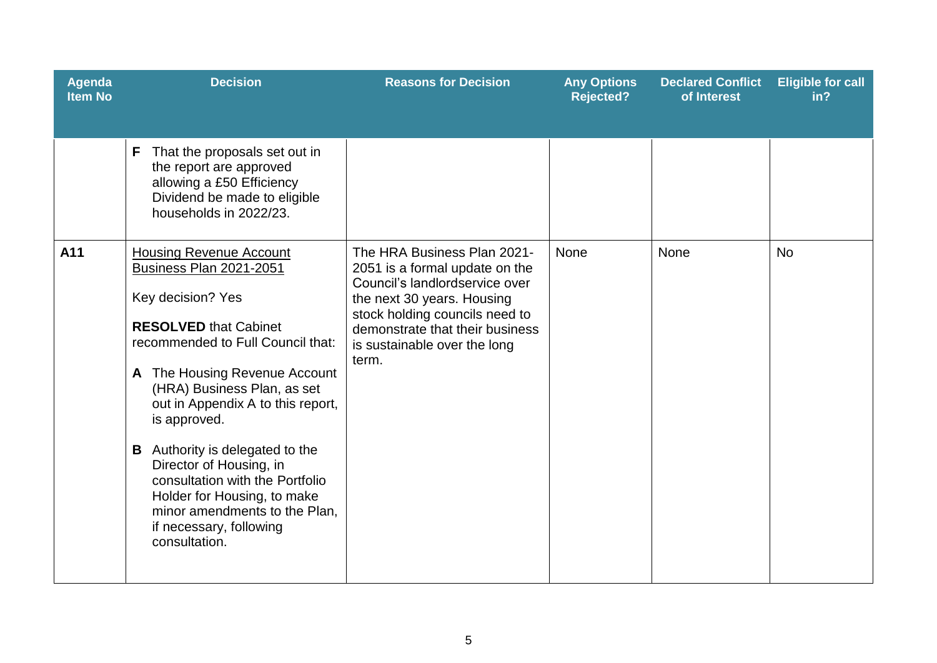| <b>Agenda</b><br><b>Item No</b> | <b>Decision</b>                                                                                                                                                                                                                                                                                                                                                                                                                                                                                     | <b>Reasons for Decision</b>                                                                                                                                                                                                                 | <b>Any Options</b><br><b>Rejected?</b> | <b>Declared Conflict</b><br>of Interest | <b>Eligible for call</b><br>in? |
|---------------------------------|-----------------------------------------------------------------------------------------------------------------------------------------------------------------------------------------------------------------------------------------------------------------------------------------------------------------------------------------------------------------------------------------------------------------------------------------------------------------------------------------------------|---------------------------------------------------------------------------------------------------------------------------------------------------------------------------------------------------------------------------------------------|----------------------------------------|-----------------------------------------|---------------------------------|
|                                 | That the proposals set out in<br>F<br>the report are approved<br>allowing a £50 Efficiency<br>Dividend be made to eligible<br>households in 2022/23.                                                                                                                                                                                                                                                                                                                                                |                                                                                                                                                                                                                                             |                                        |                                         |                                 |
| A11                             | <b>Housing Revenue Account</b><br><b>Business Plan 2021-2051</b><br>Key decision? Yes<br><b>RESOLVED that Cabinet</b><br>recommended to Full Council that:<br>A The Housing Revenue Account<br>(HRA) Business Plan, as set<br>out in Appendix A to this report,<br>is approved.<br><b>B</b> Authority is delegated to the<br>Director of Housing, in<br>consultation with the Portfolio<br>Holder for Housing, to make<br>minor amendments to the Plan,<br>if necessary, following<br>consultation. | The HRA Business Plan 2021-<br>2051 is a formal update on the<br>Council's landlordservice over<br>the next 30 years. Housing<br>stock holding councils need to<br>demonstrate that their business<br>is sustainable over the long<br>term. | None                                   | None                                    | <b>No</b>                       |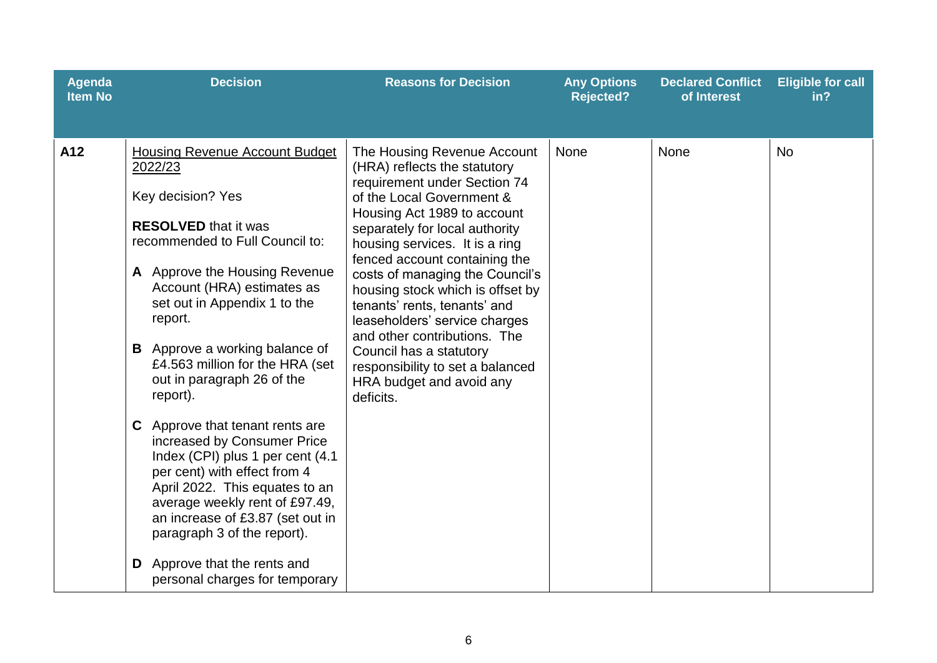| <b>Agenda</b><br><b>Item No</b> | <b>Decision</b>                                                                                                                                                                                                                                                                                                                                                                                                                                                                                                                                                                                                                                                                                                                | <b>Reasons for Decision</b>                                                                                                                                                                                                                                                                                                                                                                                                                                                                                                                  | <b>Any Options</b><br><b>Rejected?</b> | <b>Declared Conflict</b><br>of Interest | <b>Eligible for call</b><br>in? |
|---------------------------------|--------------------------------------------------------------------------------------------------------------------------------------------------------------------------------------------------------------------------------------------------------------------------------------------------------------------------------------------------------------------------------------------------------------------------------------------------------------------------------------------------------------------------------------------------------------------------------------------------------------------------------------------------------------------------------------------------------------------------------|----------------------------------------------------------------------------------------------------------------------------------------------------------------------------------------------------------------------------------------------------------------------------------------------------------------------------------------------------------------------------------------------------------------------------------------------------------------------------------------------------------------------------------------------|----------------------------------------|-----------------------------------------|---------------------------------|
| A12                             | <b>Housing Revenue Account Budget</b><br>2022/23<br>Key decision? Yes<br><b>RESOLVED</b> that it was<br>recommended to Full Council to:<br>A Approve the Housing Revenue<br>Account (HRA) estimates as<br>set out in Appendix 1 to the<br>report.<br><b>B</b> Approve a working balance of<br>£4.563 million for the HRA (set<br>out in paragraph 26 of the<br>report).<br>Approve that tenant rents are<br>C.<br>increased by Consumer Price<br>Index (CPI) plus 1 per cent (4.1)<br>per cent) with effect from 4<br>April 2022. This equates to an<br>average weekly rent of £97.49,<br>an increase of £3.87 (set out in<br>paragraph 3 of the report).<br>Approve that the rents and<br>D<br>personal charges for temporary | The Housing Revenue Account<br>(HRA) reflects the statutory<br>requirement under Section 74<br>of the Local Government &<br>Housing Act 1989 to account<br>separately for local authority<br>housing services. It is a ring<br>fenced account containing the<br>costs of managing the Council's<br>housing stock which is offset by<br>tenants' rents, tenants' and<br>leaseholders' service charges<br>and other contributions. The<br>Council has a statutory<br>responsibility to set a balanced<br>HRA budget and avoid any<br>deficits. | None                                   | None                                    | <b>No</b>                       |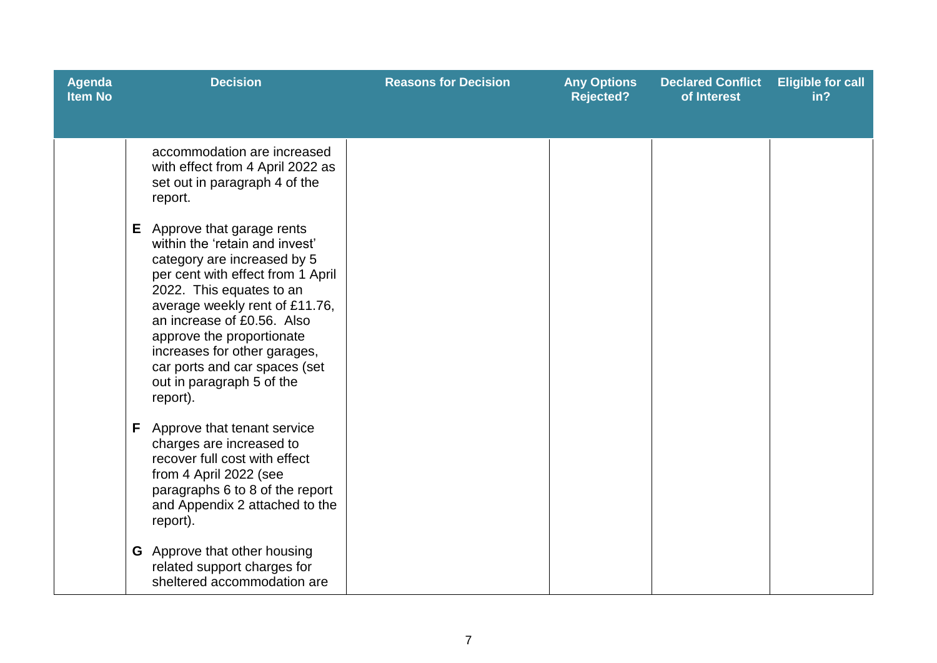| <b>Agenda</b><br><b>Item No</b> | <b>Decision</b>                                                                                                                                                                                                                                                                                                                                                                                                                                                                            | <b>Reasons for Decision</b> | <b>Any Options</b><br><b>Rejected?</b> | <b>Declared Conflict</b><br>of Interest | <b>Eligible for call</b><br>in? |
|---------------------------------|--------------------------------------------------------------------------------------------------------------------------------------------------------------------------------------------------------------------------------------------------------------------------------------------------------------------------------------------------------------------------------------------------------------------------------------------------------------------------------------------|-----------------------------|----------------------------------------|-----------------------------------------|---------------------------------|
|                                 | accommodation are increased<br>with effect from 4 April 2022 as<br>set out in paragraph 4 of the<br>report.<br><b>E</b> Approve that garage rents<br>within the 'retain and invest'<br>category are increased by 5<br>per cent with effect from 1 April<br>2022. This equates to an<br>average weekly rent of £11.76,<br>an increase of £0.56. Also<br>approve the proportionate<br>increases for other garages,<br>car ports and car spaces (set<br>out in paragraph 5 of the<br>report). |                             |                                        |                                         |                                 |
|                                 | <b>F</b> Approve that tenant service<br>charges are increased to<br>recover full cost with effect<br>from 4 April 2022 (see<br>paragraphs 6 to 8 of the report<br>and Appendix 2 attached to the<br>report).                                                                                                                                                                                                                                                                               |                             |                                        |                                         |                                 |
|                                 | <b>G</b> Approve that other housing<br>related support charges for<br>sheltered accommodation are                                                                                                                                                                                                                                                                                                                                                                                          |                             |                                        |                                         |                                 |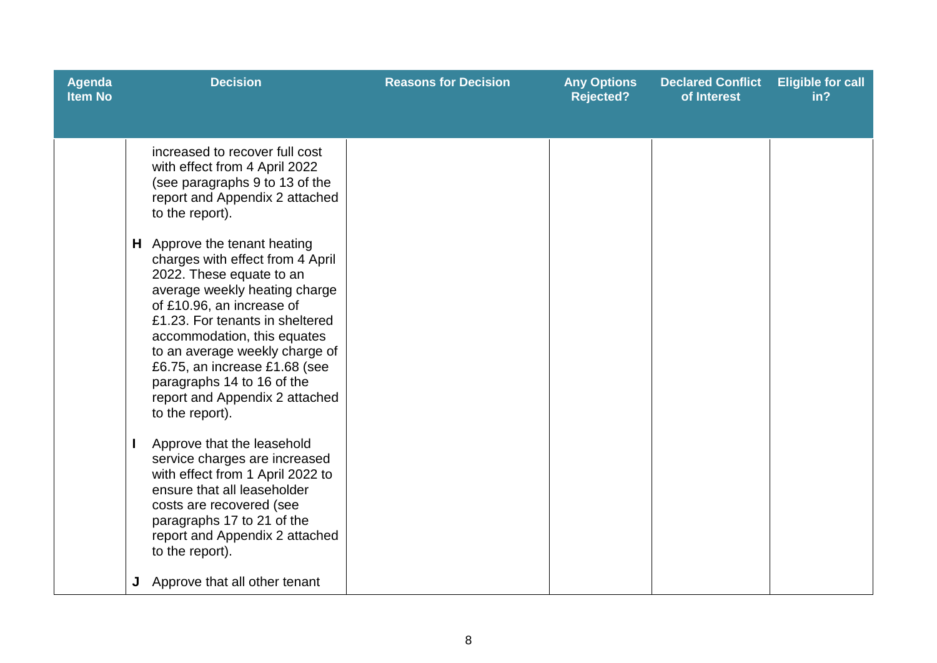| <b>Agenda</b><br><b>Item No</b> | <b>Decision</b>                                                                                                                                                                                                                                                                                                                                                                                                                                                                                                                                                                                                                                                                                                                                                                                                                | <b>Reasons for Decision</b> | <b>Any Options</b><br><b>Rejected?</b> | <b>Declared Conflict</b><br>of Interest | <b>Eligible for call</b><br>in? |
|---------------------------------|--------------------------------------------------------------------------------------------------------------------------------------------------------------------------------------------------------------------------------------------------------------------------------------------------------------------------------------------------------------------------------------------------------------------------------------------------------------------------------------------------------------------------------------------------------------------------------------------------------------------------------------------------------------------------------------------------------------------------------------------------------------------------------------------------------------------------------|-----------------------------|----------------------------------------|-----------------------------------------|---------------------------------|
|                                 | increased to recover full cost<br>with effect from 4 April 2022<br>(see paragraphs 9 to 13 of the<br>report and Appendix 2 attached<br>to the report).<br>H Approve the tenant heating<br>charges with effect from 4 April<br>2022. These equate to an<br>average weekly heating charge<br>of £10.96, an increase of<br>£1.23. For tenants in sheltered<br>accommodation, this equates<br>to an average weekly charge of<br>£6.75, an increase £1.68 (see<br>paragraphs 14 to 16 of the<br>report and Appendix 2 attached<br>to the report).<br>Approve that the leasehold<br>service charges are increased<br>with effect from 1 April 2022 to<br>ensure that all leaseholder<br>costs are recovered (see<br>paragraphs 17 to 21 of the<br>report and Appendix 2 attached<br>to the report).<br>Approve that all other tenant |                             |                                        |                                         |                                 |
|                                 |                                                                                                                                                                                                                                                                                                                                                                                                                                                                                                                                                                                                                                                                                                                                                                                                                                |                             |                                        |                                         |                                 |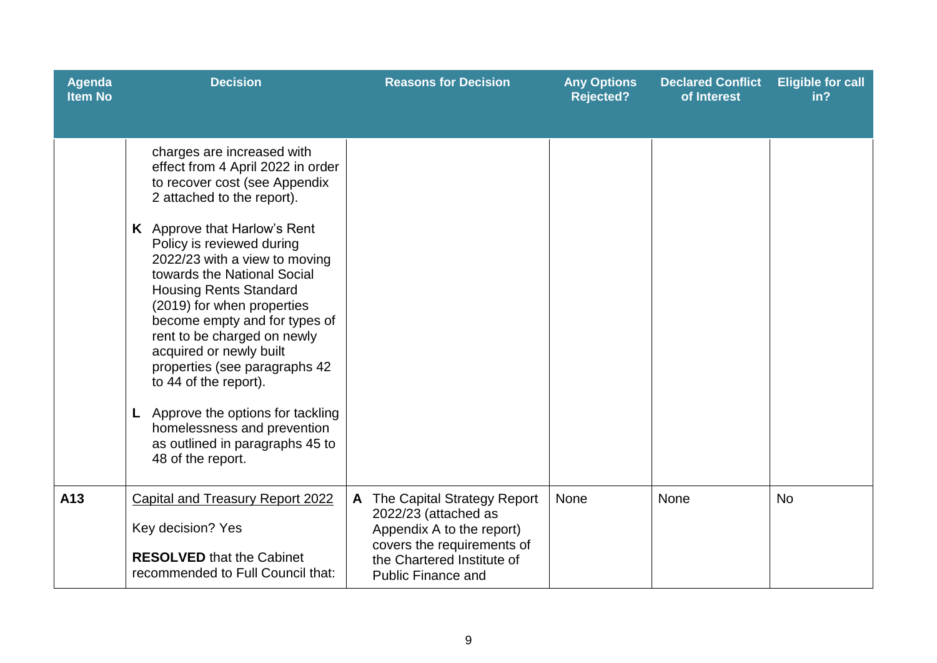| Agenda<br><b>Item No</b> | <b>Decision</b>                                                                                                                                                                                                                                                                                                                                                                                                                                                                                                                                                                                            | <b>Reasons for Decision</b>                                                                                                                                                    | <b>Any Options</b><br><b>Rejected?</b> | <b>Declared Conflict</b><br>of Interest | <b>Eligible for call</b><br>in? |
|--------------------------|------------------------------------------------------------------------------------------------------------------------------------------------------------------------------------------------------------------------------------------------------------------------------------------------------------------------------------------------------------------------------------------------------------------------------------------------------------------------------------------------------------------------------------------------------------------------------------------------------------|--------------------------------------------------------------------------------------------------------------------------------------------------------------------------------|----------------------------------------|-----------------------------------------|---------------------------------|
|                          | charges are increased with<br>effect from 4 April 2022 in order<br>to recover cost (see Appendix<br>2 attached to the report).<br>K Approve that Harlow's Rent<br>Policy is reviewed during<br>2022/23 with a view to moving<br>towards the National Social<br><b>Housing Rents Standard</b><br>(2019) for when properties<br>become empty and for types of<br>rent to be charged on newly<br>acquired or newly built<br>properties (see paragraphs 42<br>to 44 of the report).<br>Approve the options for tackling<br>homelessness and prevention<br>as outlined in paragraphs 45 to<br>48 of the report. |                                                                                                                                                                                |                                        |                                         |                                 |
| A13                      | <b>Capital and Treasury Report 2022</b><br>Key decision? Yes<br><b>RESOLVED</b> that the Cabinet<br>recommended to Full Council that:                                                                                                                                                                                                                                                                                                                                                                                                                                                                      | The Capital Strategy Report<br>A<br>2022/23 (attached as<br>Appendix A to the report)<br>covers the requirements of<br>the Chartered Institute of<br><b>Public Finance and</b> | None                                   | <b>None</b>                             | <b>No</b>                       |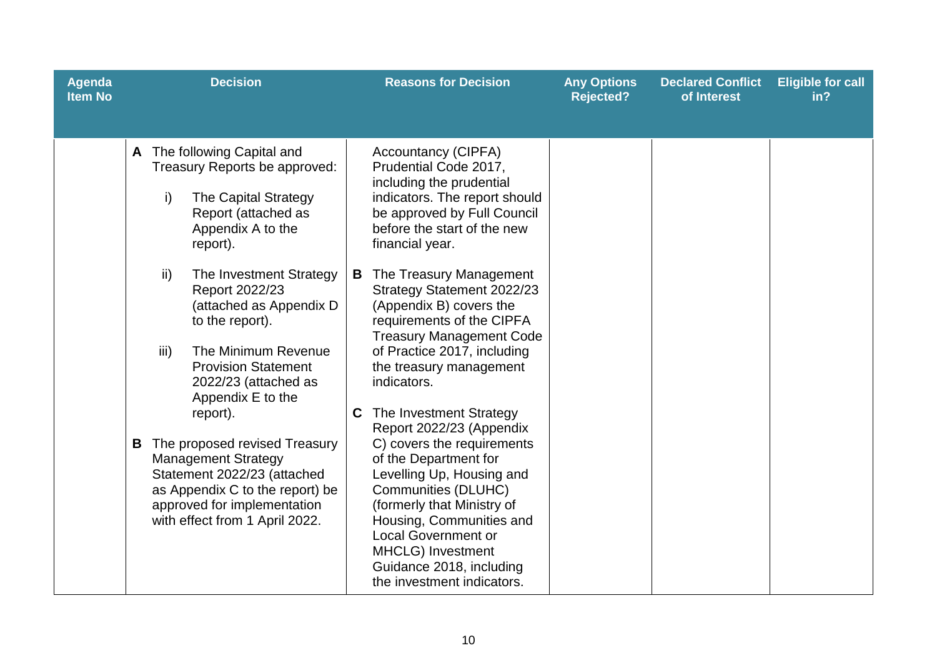| <b>Agenda</b><br><b>Item No</b> | <b>Decision</b>                                                                                                                                                                                                                                                                                                                                                                                                                                                                                                                                                                   | <b>Reasons for Decision</b>                                                                                                                                                                                                                                                                                                                                                                                                                                                                                                                                                                                                                                                                                                                                                               | <b>Any Options</b><br><b>Rejected?</b> | <b>Declared Conflict</b><br>of Interest | <b>Eligible for call</b><br>in? |
|---------------------------------|-----------------------------------------------------------------------------------------------------------------------------------------------------------------------------------------------------------------------------------------------------------------------------------------------------------------------------------------------------------------------------------------------------------------------------------------------------------------------------------------------------------------------------------------------------------------------------------|-------------------------------------------------------------------------------------------------------------------------------------------------------------------------------------------------------------------------------------------------------------------------------------------------------------------------------------------------------------------------------------------------------------------------------------------------------------------------------------------------------------------------------------------------------------------------------------------------------------------------------------------------------------------------------------------------------------------------------------------------------------------------------------------|----------------------------------------|-----------------------------------------|---------------------------------|
|                                 | A The following Capital and<br>Treasury Reports be approved:<br>i)<br>The Capital Strategy<br>Report (attached as<br>Appendix A to the<br>report).<br>ii)<br>The Investment Strategy<br>Report 2022/23<br>(attached as Appendix D<br>to the report).<br>The Minimum Revenue<br>iii)<br><b>Provision Statement</b><br>2022/23 (attached as<br>Appendix E to the<br>report).<br>The proposed revised Treasury<br>B<br><b>Management Strategy</b><br>Statement 2022/23 (attached<br>as Appendix C to the report) be<br>approved for implementation<br>with effect from 1 April 2022. | <b>Accountancy (CIPFA)</b><br>Prudential Code 2017,<br>including the prudential<br>indicators. The report should<br>be approved by Full Council<br>before the start of the new<br>financial year.<br>The Treasury Management<br>B<br>Strategy Statement 2022/23<br>(Appendix B) covers the<br>requirements of the CIPFA<br><b>Treasury Management Code</b><br>of Practice 2017, including<br>the treasury management<br>indicators.<br>The Investment Strategy<br>C<br>Report 2022/23 (Appendix<br>C) covers the requirements<br>of the Department for<br>Levelling Up, Housing and<br>Communities (DLUHC)<br>(formerly that Ministry of<br>Housing, Communities and<br><b>Local Government or</b><br><b>MHCLG</b> ) Investment<br>Guidance 2018, including<br>the investment indicators. |                                        |                                         |                                 |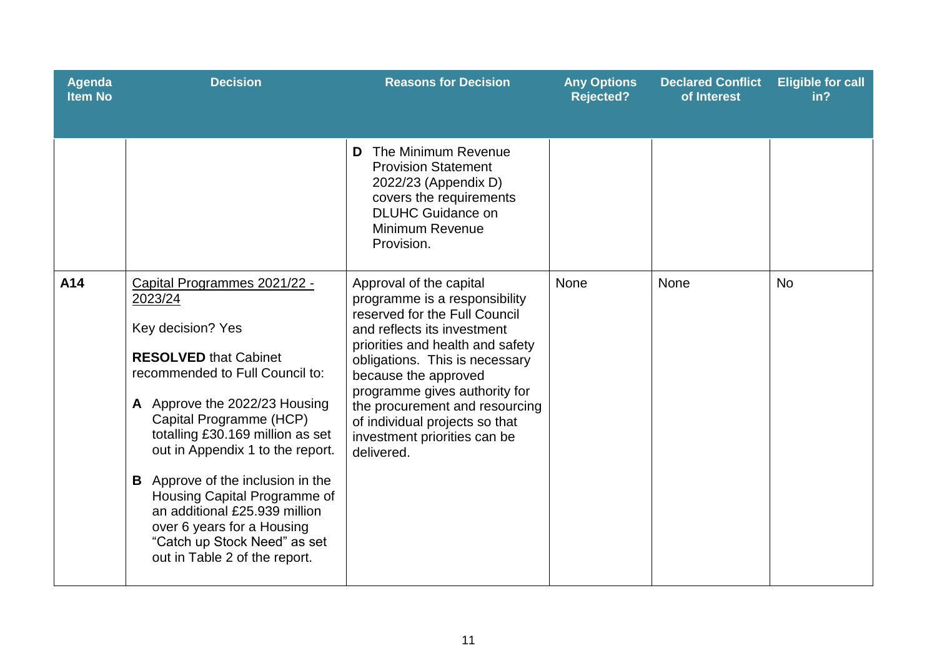| <b>Agenda</b><br><b>Item No</b> | <b>Decision</b>                                                                                                                                                                                                                                                                                                                                                                                                                                                                 | <b>Reasons for Decision</b>                                                                                                                                                                                                                                                                                                                                               | <b>Any Options</b><br><b>Rejected?</b> | <b>Declared Conflict</b><br>of Interest | <b>Eligible for call</b><br>in? |
|---------------------------------|---------------------------------------------------------------------------------------------------------------------------------------------------------------------------------------------------------------------------------------------------------------------------------------------------------------------------------------------------------------------------------------------------------------------------------------------------------------------------------|---------------------------------------------------------------------------------------------------------------------------------------------------------------------------------------------------------------------------------------------------------------------------------------------------------------------------------------------------------------------------|----------------------------------------|-----------------------------------------|---------------------------------|
|                                 |                                                                                                                                                                                                                                                                                                                                                                                                                                                                                 | The Minimum Revenue<br>D<br><b>Provision Statement</b><br>2022/23 (Appendix D)<br>covers the requirements<br><b>DLUHC Guidance on</b><br><b>Minimum Revenue</b><br>Provision.                                                                                                                                                                                             |                                        |                                         |                                 |
| A14                             | Capital Programmes 2021/22 -<br>2023/24<br>Key decision? Yes<br><b>RESOLVED that Cabinet</b><br>recommended to Full Council to:<br>A Approve the 2022/23 Housing<br>Capital Programme (HCP)<br>totalling £30.169 million as set<br>out in Appendix 1 to the report.<br><b>B</b> Approve of the inclusion in the<br>Housing Capital Programme of<br>an additional £25,939 million<br>over 6 years for a Housing<br>"Catch up Stock Need" as set<br>out in Table 2 of the report. | Approval of the capital<br>programme is a responsibility<br>reserved for the Full Council<br>and reflects its investment<br>priorities and health and safety<br>obligations. This is necessary<br>because the approved<br>programme gives authority for<br>the procurement and resourcing<br>of individual projects so that<br>investment priorities can be<br>delivered. | None                                   | <b>None</b>                             | <b>No</b>                       |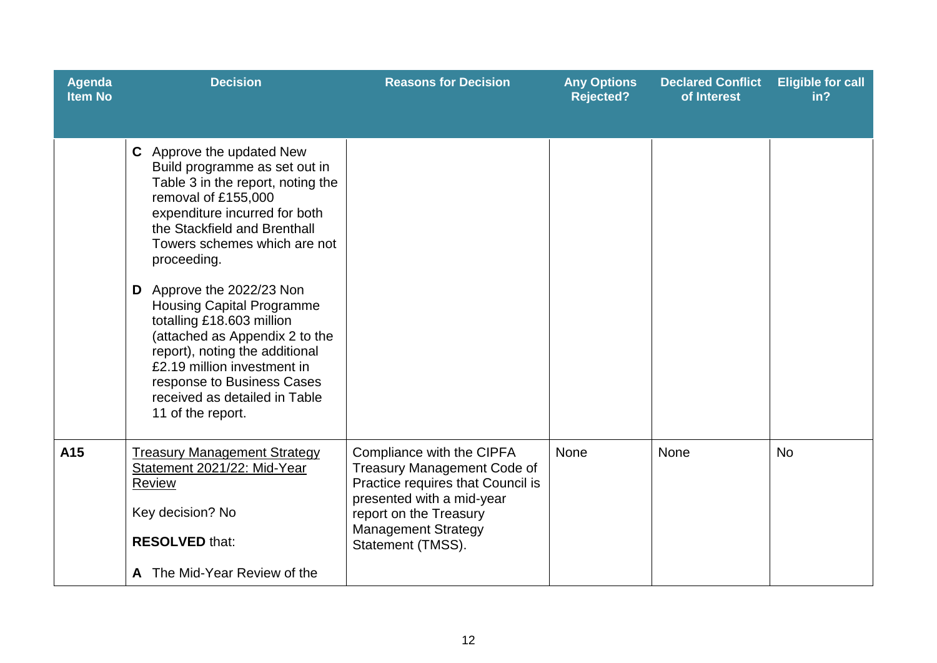| <b>Agenda</b><br><b>Item No</b> | <b>Decision</b>                                                                                                                                                                                                                                                                                                                                                                                                                                                                                                             | <b>Reasons for Decision</b>                                                                                                                                                                                    | <b>Any Options</b><br><b>Rejected?</b> | <b>Declared Conflict</b><br>of Interest | <b>Eligible for call</b><br>in? |
|---------------------------------|-----------------------------------------------------------------------------------------------------------------------------------------------------------------------------------------------------------------------------------------------------------------------------------------------------------------------------------------------------------------------------------------------------------------------------------------------------------------------------------------------------------------------------|----------------------------------------------------------------------------------------------------------------------------------------------------------------------------------------------------------------|----------------------------------------|-----------------------------------------|---------------------------------|
|                                 | C Approve the updated New<br>Build programme as set out in<br>Table 3 in the report, noting the<br>removal of £155,000<br>expenditure incurred for both<br>the Stackfield and Brenthall<br>Towers schemes which are not<br>proceeding.<br>D Approve the 2022/23 Non<br><b>Housing Capital Programme</b><br>totalling £18.603 million<br>(attached as Appendix 2 to the<br>report), noting the additional<br>£2.19 million investment in<br>response to Business Cases<br>received as detailed in Table<br>11 of the report. |                                                                                                                                                                                                                |                                        |                                         |                                 |
| A15                             | <b>Treasury Management Strategy</b><br>Statement 2021/22: Mid-Year<br><b>Review</b><br>Key decision? No<br><b>RESOLVED that:</b><br>A The Mid-Year Review of the                                                                                                                                                                                                                                                                                                                                                            | Compliance with the CIPFA<br><b>Treasury Management Code of</b><br>Practice requires that Council is<br>presented with a mid-year<br>report on the Treasury<br><b>Management Strategy</b><br>Statement (TMSS). | <b>None</b>                            | None                                    | <b>No</b>                       |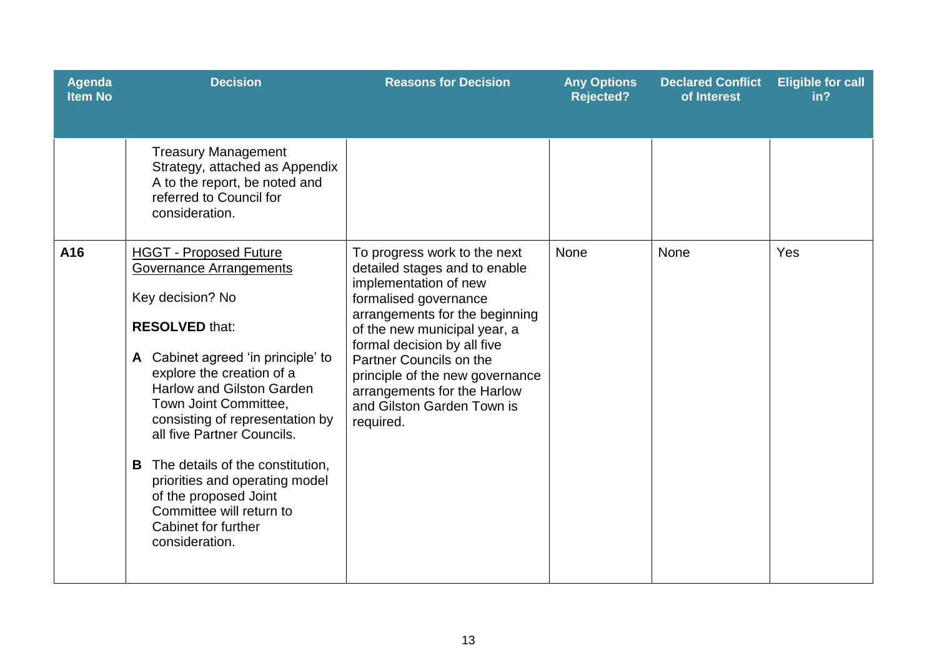| Agenda<br><b>Item No</b> | <b>Decision</b>                                                                                                                                                                                                                                                                                                                                                                                                                                                                        | <b>Reasons for Decision</b>                                                                                                                                                                                                                                                                                                                              | <b>Any Options</b><br><b>Rejected?</b> | <b>Declared Conflict</b><br>of Interest | <b>Eligible for call</b><br>in? |
|--------------------------|----------------------------------------------------------------------------------------------------------------------------------------------------------------------------------------------------------------------------------------------------------------------------------------------------------------------------------------------------------------------------------------------------------------------------------------------------------------------------------------|----------------------------------------------------------------------------------------------------------------------------------------------------------------------------------------------------------------------------------------------------------------------------------------------------------------------------------------------------------|----------------------------------------|-----------------------------------------|---------------------------------|
|                          | <b>Treasury Management</b><br>Strategy, attached as Appendix<br>A to the report, be noted and<br>referred to Council for<br>consideration.                                                                                                                                                                                                                                                                                                                                             |                                                                                                                                                                                                                                                                                                                                                          |                                        |                                         |                                 |
| A16                      | <b>HGGT - Proposed Future</b><br><b>Governance Arrangements</b><br>Key decision? No<br><b>RESOLVED that:</b><br>A Cabinet agreed 'in principle' to<br>explore the creation of a<br><b>Harlow and Gilston Garden</b><br>Town Joint Committee,<br>consisting of representation by<br>all five Partner Councils.<br>The details of the constitution,<br>B<br>priorities and operating model<br>of the proposed Joint<br>Committee will return to<br>Cabinet for further<br>consideration. | To progress work to the next<br>detailed stages and to enable<br>implementation of new<br>formalised governance<br>arrangements for the beginning<br>of the new municipal year, a<br>formal decision by all five<br>Partner Councils on the<br>principle of the new governance<br>arrangements for the Harlow<br>and Gilston Garden Town is<br>required. | None                                   | None                                    | Yes                             |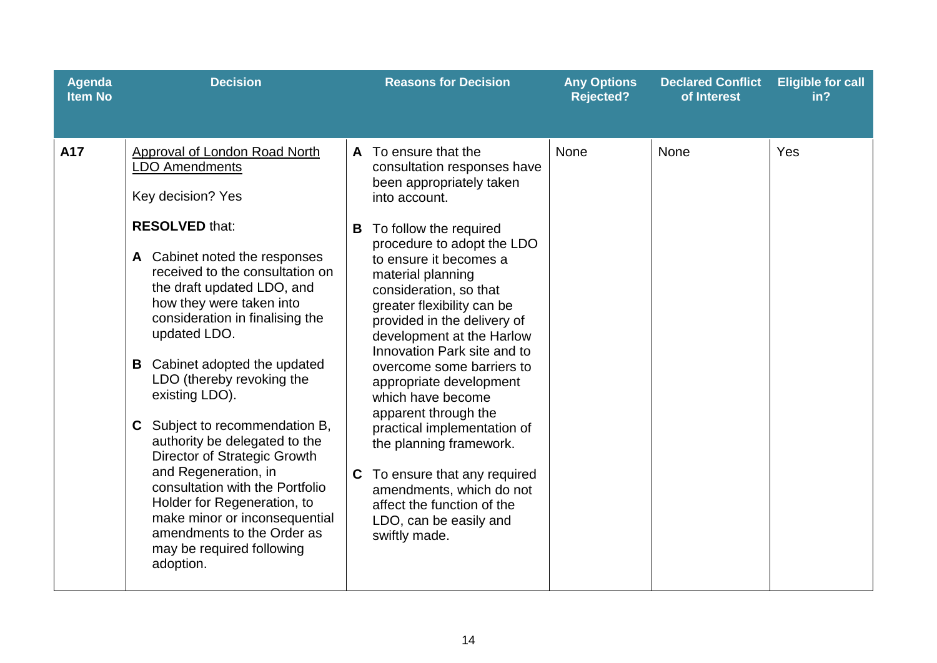| <b>Agenda</b><br><b>Item No</b> | <b>Decision</b>                                                                                                                                                                                                                                                                                                                                                                                                                                                                                                                                                                                                                                                                          | <b>Reasons for Decision</b>                                                                                                                                                                                                                                                                                                                                                                                                                                                                                                                                                                                                                                                           | <b>Any Options</b><br><b>Rejected?</b> | <b>Declared Conflict</b><br>of Interest | <b>Eligible for call</b><br>in? |
|---------------------------------|------------------------------------------------------------------------------------------------------------------------------------------------------------------------------------------------------------------------------------------------------------------------------------------------------------------------------------------------------------------------------------------------------------------------------------------------------------------------------------------------------------------------------------------------------------------------------------------------------------------------------------------------------------------------------------------|---------------------------------------------------------------------------------------------------------------------------------------------------------------------------------------------------------------------------------------------------------------------------------------------------------------------------------------------------------------------------------------------------------------------------------------------------------------------------------------------------------------------------------------------------------------------------------------------------------------------------------------------------------------------------------------|----------------------------------------|-----------------------------------------|---------------------------------|
| A17                             | <b>Approval of London Road North</b><br><b>LDO Amendments</b><br>Key decision? Yes<br><b>RESOLVED that:</b><br>A Cabinet noted the responses<br>received to the consultation on<br>the draft updated LDO, and<br>how they were taken into<br>consideration in finalising the<br>updated LDO.<br>Cabinet adopted the updated<br>В<br>LDO (thereby revoking the<br>existing LDO).<br>Subject to recommendation B,<br>C<br>authority be delegated to the<br>Director of Strategic Growth<br>and Regeneration, in<br>consultation with the Portfolio<br>Holder for Regeneration, to<br>make minor or inconsequential<br>amendments to the Order as<br>may be required following<br>adoption. | To ensure that the<br>$\mathsf{A}$<br>consultation responses have<br>been appropriately taken<br>into account.<br>To follow the required<br>В<br>procedure to adopt the LDO<br>to ensure it becomes a<br>material planning<br>consideration, so that<br>greater flexibility can be<br>provided in the delivery of<br>development at the Harlow<br>Innovation Park site and to<br>overcome some barriers to<br>appropriate development<br>which have become<br>apparent through the<br>practical implementation of<br>the planning framework.<br>To ensure that any required<br>C<br>amendments, which do not<br>affect the function of the<br>LDO, can be easily and<br>swiftly made. | None                                   | None                                    | Yes                             |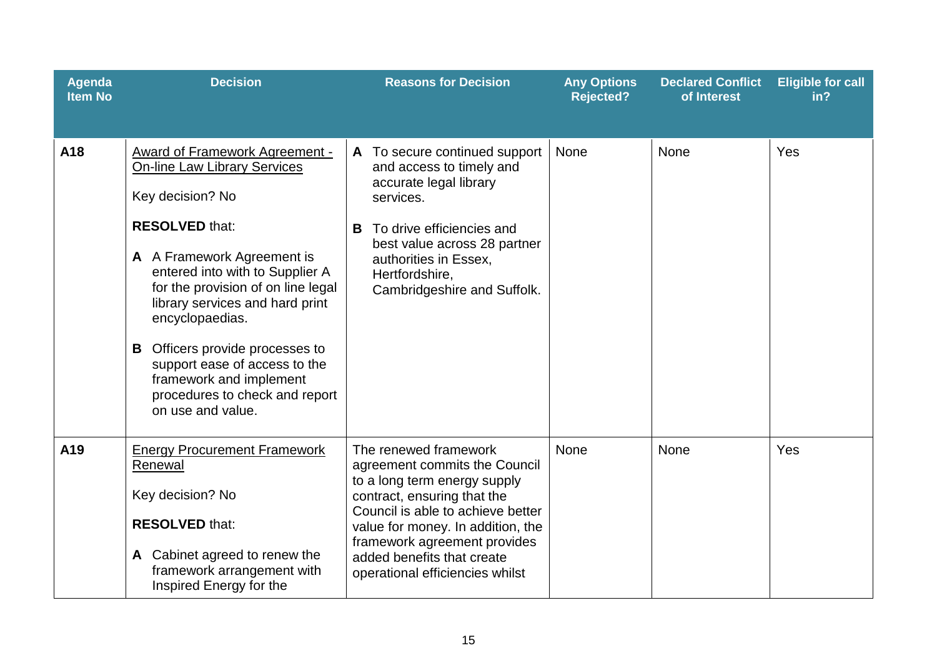| <b>Agenda</b><br><b>Item No</b> | <b>Decision</b>                                                                                                                                                                                                                                                                                                                                                                                                                                     | <b>Reasons for Decision</b>                                                                                                                                                                                                                                                                      | <b>Any Options</b><br><b>Rejected?</b> | <b>Declared Conflict</b><br>of Interest | <b>Eligible for call</b><br>in? |
|---------------------------------|-----------------------------------------------------------------------------------------------------------------------------------------------------------------------------------------------------------------------------------------------------------------------------------------------------------------------------------------------------------------------------------------------------------------------------------------------------|--------------------------------------------------------------------------------------------------------------------------------------------------------------------------------------------------------------------------------------------------------------------------------------------------|----------------------------------------|-----------------------------------------|---------------------------------|
| A18                             | <b>Award of Framework Agreement -</b><br><b>On-line Law Library Services</b><br>Key decision? No<br><b>RESOLVED that:</b><br>A A Framework Agreement is<br>entered into with to Supplier A<br>for the provision of on line legal<br>library services and hard print<br>encyclopaedias.<br><b>B</b> Officers provide processes to<br>support ease of access to the<br>framework and implement<br>procedures to check and report<br>on use and value. | To secure continued support<br>A<br>and access to timely and<br>accurate legal library<br>services.<br>To drive efficiencies and<br>В<br>best value across 28 partner<br>authorities in Essex.<br>Hertfordshire,<br>Cambridgeshire and Suffolk.                                                  | None                                   | <b>None</b>                             | Yes                             |
| A19                             | <b>Energy Procurement Framework</b><br>Renewal<br>Key decision? No<br><b>RESOLVED that:</b><br>A Cabinet agreed to renew the<br>framework arrangement with<br>Inspired Energy for the                                                                                                                                                                                                                                                               | The renewed framework<br>agreement commits the Council<br>to a long term energy supply<br>contract, ensuring that the<br>Council is able to achieve better<br>value for money. In addition, the<br>framework agreement provides<br>added benefits that create<br>operational efficiencies whilst | <b>None</b>                            | None                                    | Yes                             |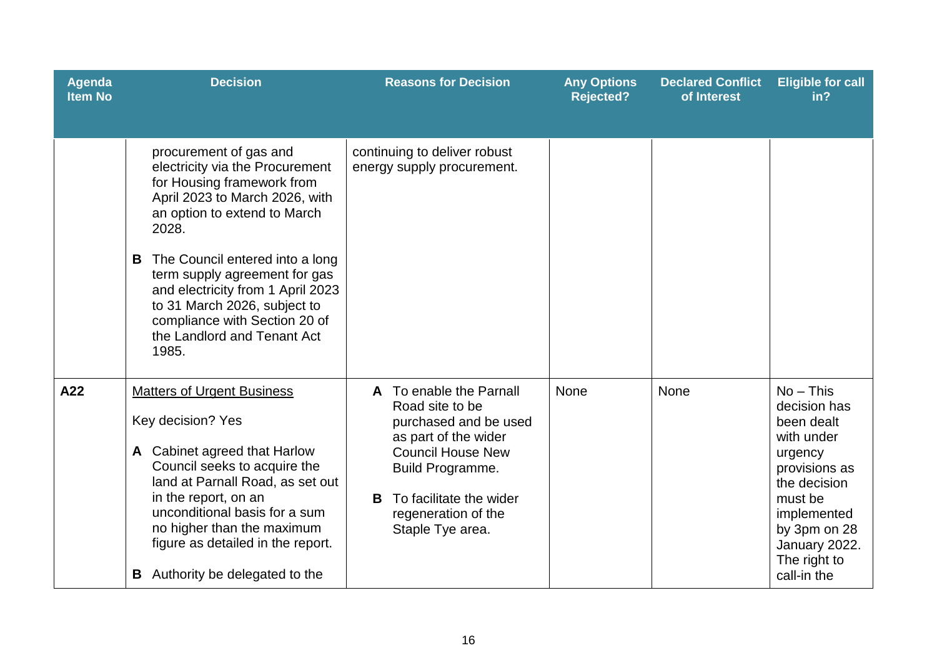| <b>Agenda</b><br><b>Item No</b> | <b>Decision</b>                                                                                                                                                                                                                                                                                                                                                                           | <b>Reasons for Decision</b>                                                                                                                                                                                            | <b>Any Options</b><br><b>Rejected?</b> | <b>Declared Conflict</b><br>of Interest | <b>Eligible for call</b><br>in?                                                                                                                                                               |
|---------------------------------|-------------------------------------------------------------------------------------------------------------------------------------------------------------------------------------------------------------------------------------------------------------------------------------------------------------------------------------------------------------------------------------------|------------------------------------------------------------------------------------------------------------------------------------------------------------------------------------------------------------------------|----------------------------------------|-----------------------------------------|-----------------------------------------------------------------------------------------------------------------------------------------------------------------------------------------------|
|                                 | procurement of gas and<br>electricity via the Procurement<br>for Housing framework from<br>April 2023 to March 2026, with<br>an option to extend to March<br>2028.<br>The Council entered into a long<br>B<br>term supply agreement for gas<br>and electricity from 1 April 2023<br>to 31 March 2026, subject to<br>compliance with Section 20 of<br>the Landlord and Tenant Act<br>1985. | continuing to deliver robust<br>energy supply procurement.                                                                                                                                                             |                                        |                                         |                                                                                                                                                                                               |
| A22                             | <b>Matters of Urgent Business</b><br>Key decision? Yes<br>A Cabinet agreed that Harlow<br>Council seeks to acquire the<br>land at Parnall Road, as set out<br>in the report, on an<br>unconditional basis for a sum<br>no higher than the maximum<br>figure as detailed in the report.<br><b>B</b> Authority be delegated to the                                                          | A To enable the Parnall<br>Road site to be<br>purchased and be used<br>as part of the wider<br><b>Council House New</b><br>Build Programme.<br>To facilitate the wider<br>B<br>regeneration of the<br>Staple Tye area. | <b>None</b>                            | None                                    | $No$ – This<br>decision has<br>been dealt<br>with under<br>urgency<br>provisions as<br>the decision<br>must be<br>implemented<br>by 3pm on 28<br>January 2022.<br>The right to<br>call-in the |